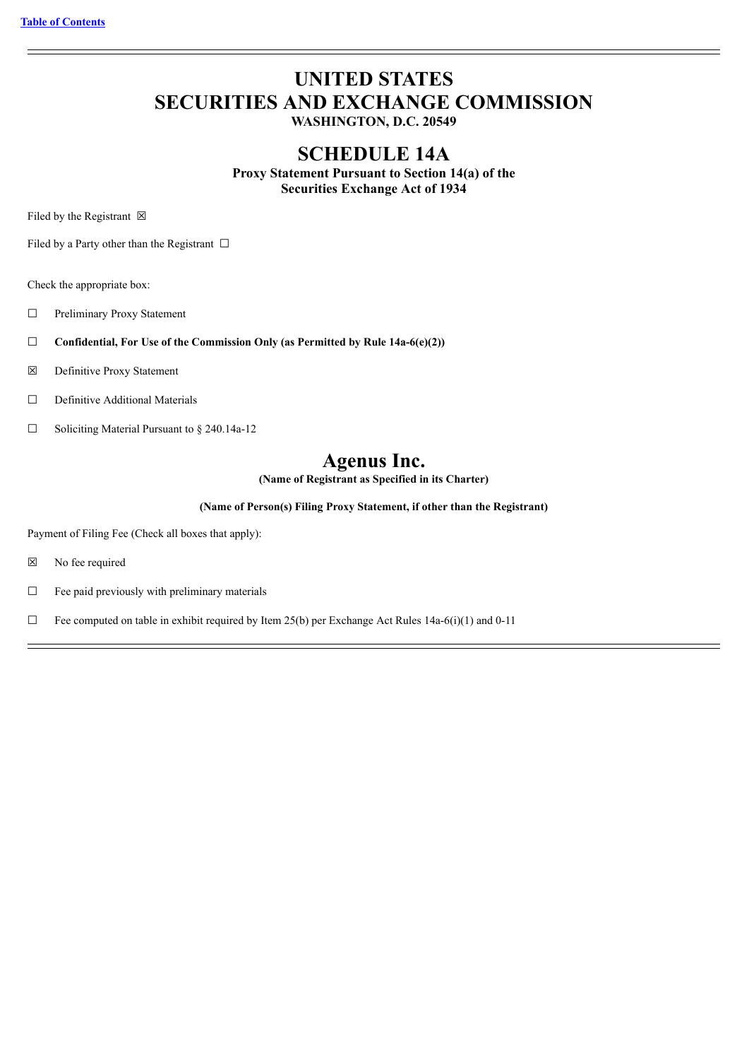# **UNITED STATES SECURITIES AND EXCHANGE COMMISSION**

**WASHINGTON, D.C. 20549**

## **SCHEDULE 14A**

**Proxy Statement Pursuant to Section 14(a) of the Securities Exchange Act of 1934**

Filed by the Registrant  $\boxtimes$ 

Filed by a Party other than the Registrant  $\Box$ 

Check the appropriate box:

☐ Preliminary Proxy Statement

- ☐ **Confidential, For Use of the Commission Only (as Permitted by Rule 14a-6(e)(2))**
- ☒ Definitive Proxy Statement
- ☐ Definitive Additional Materials
- ☐ Soliciting Material Pursuant to § 240.14a-12

## **Agenus Inc.**

**(Name of Registrant as Specified in its Charter)**

**(Name of Person(s) Filing Proxy Statement, if other than the Registrant)**

Payment of Filing Fee (Check all boxes that apply):

☒ No fee required

 $\Box$  Fee paid previously with preliminary materials

 $\Box$  Fee computed on table in exhibit required by Item 25(b) per Exchange Act Rules 14a-6(i)(1) and 0-11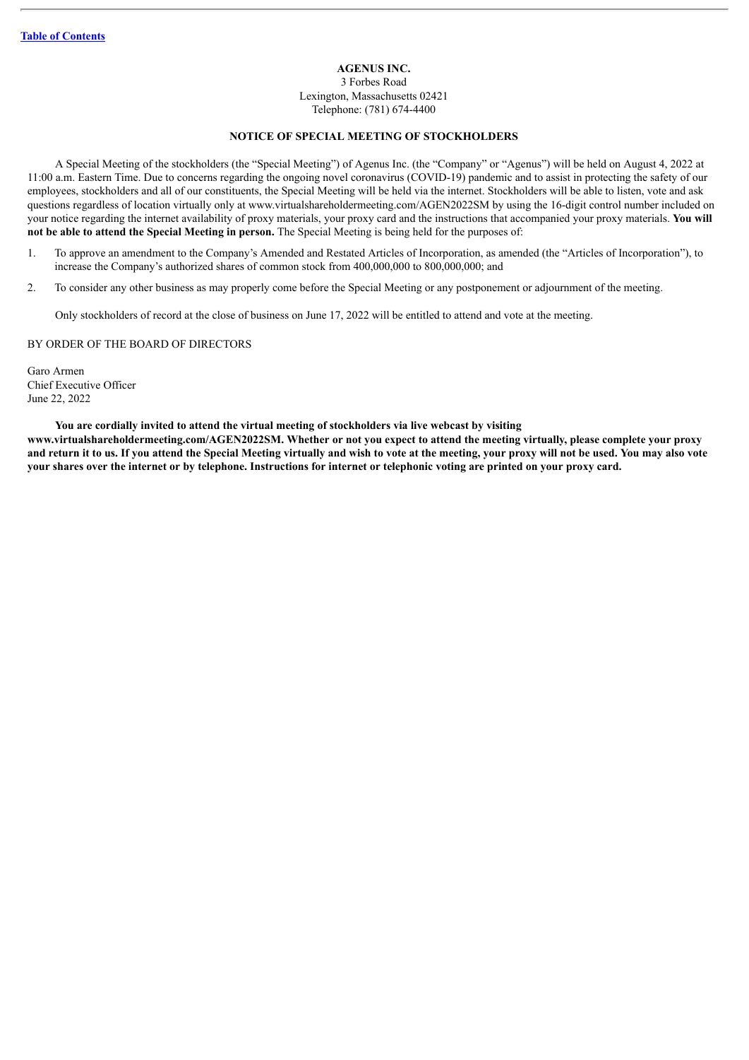**AGENUS INC.**

3 Forbes Road Lexington, Massachusetts 02421 Telephone: (781) 674-4400

#### **NOTICE OF SPECIAL MEETING OF STOCKHOLDERS**

A Special Meeting of the stockholders (the "Special Meeting") of Agenus Inc. (the "Company" or "Agenus") will be held on August 4, 2022 at 11:00 a.m. Eastern Time. Due to concerns regarding the ongoing novel coronavirus (COVID-19) pandemic and to assist in protecting the safety of our employees, stockholders and all of our constituents, the Special Meeting will be held via the internet. Stockholders will be able to listen, vote and ask questions regardless of location virtually only at www.virtualshareholdermeeting.com/AGEN2022SM by using the 16-digit control number included on your notice regarding the internet availability of proxy materials, your proxy card and the instructions that accompanied your proxy materials. **You will not be able to attend the Special Meeting in person.** The Special Meeting is being held for the purposes of:

- 1. To approve an amendment to the Company's Amended and Restated Articles of Incorporation, as amended (the "Articles of Incorporation"), to increase the Company's authorized shares of common stock from 400,000,000 to 800,000,000; and
- 2. To consider any other business as may properly come before the Special Meeting or any postponement or adjournment of the meeting.

Only stockholders of record at the close of business on June 17, 2022 will be entitled to attend and vote at the meeting.

#### BY ORDER OF THE BOARD OF DIRECTORS

Garo Armen Chief Executive Officer June 22, 2022

#### **You are cordially invited to attend the virtual meeting of stockholders via live webcast by visiting**

www.virtualshareholdermeeting.com/AGEN2022SM. Whether or not you expect to attend the meeting virtually, please complete your proxy and return it to us. If you attend the Special Meeting virtually and wish to vote at the meeting, your proxy will not be used. You may also vote your shares over the internet or by telephone. Instructions for internet or telephonic voting are printed on your proxy card.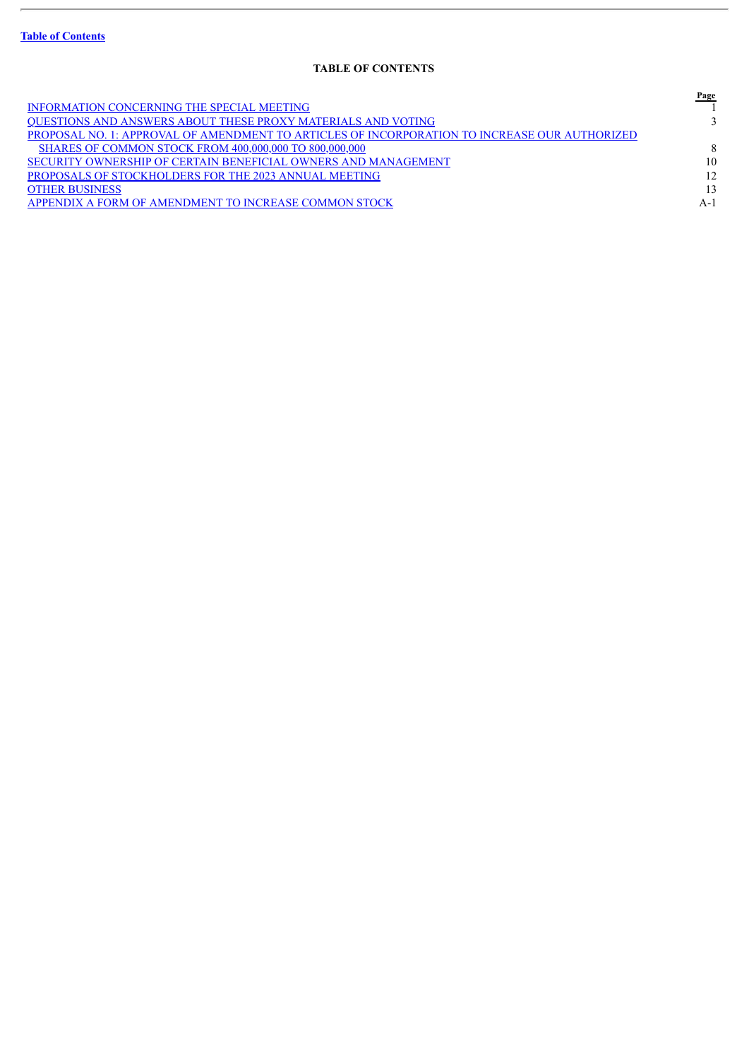ł.

## **TABLE OF CONTENTS**

<span id="page-2-0"></span>

|                                                                                               | Page |
|-----------------------------------------------------------------------------------------------|------|
| <b>INFORMATION CONCERNING THE SPECIAL MEETING</b>                                             |      |
| <b>OUESTIONS AND ANSWERS ABOUT THESE PROXY MATERIALS AND VOTING</b>                           |      |
| PROPOSAL NO. 1: APPROVAL OF AMENDMENT TO ARTICLES OF INCORPORATION TO INCREASE OUR AUTHORIZED |      |
| <b>SHARES OF COMMON STOCK FROM 400,000,000 TO 800,000,000</b>                                 | 8    |
| SECURITY OWNERSHIP OF CERTAIN BENEFICIAL OWNERS AND MANAGEMENT                                | 10   |
| PROPOSALS OF STOCKHOLDERS FOR THE 2023 ANNUAL MEETING                                         | 12   |
| <b>OTHER BUSINESS</b>                                                                         | 13   |
| APPENDIX A FORM OF AMENDMENT TO INCREASE COMMON STOCK                                         | A-1  |
|                                                                                               |      |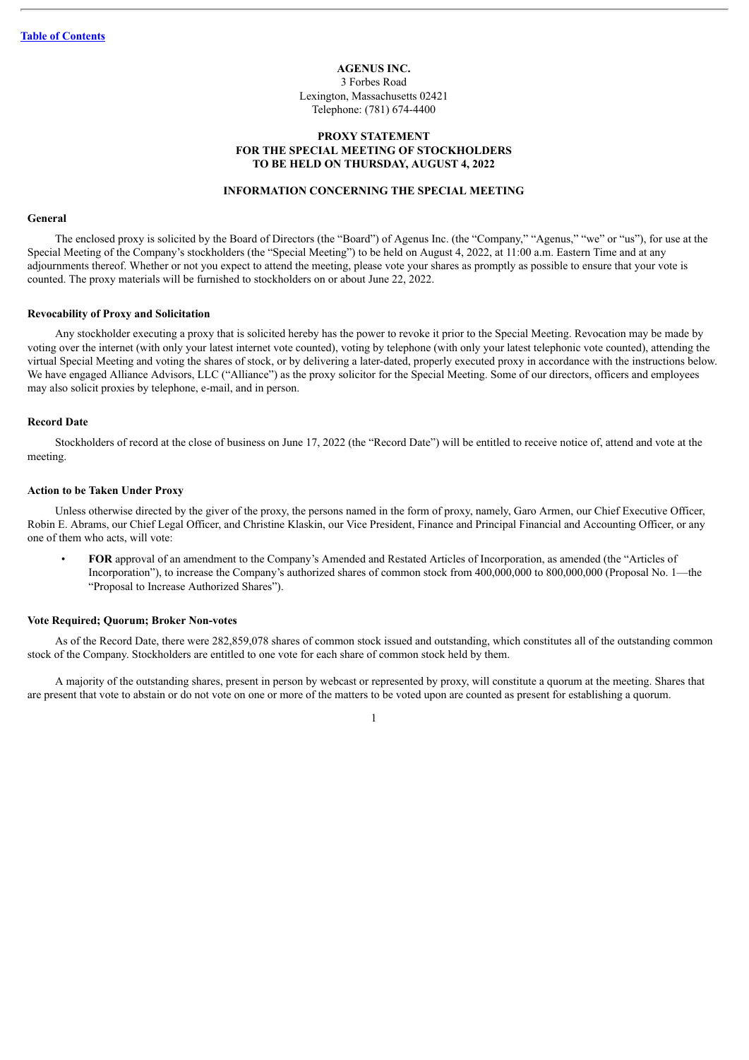**AGENUS INC.** 3 Forbes Road Lexington, Massachusetts 02421 Telephone: (781) 674-4400

#### **PROXY STATEMENT FOR THE SPECIAL MEETING OF STOCKHOLDERS TO BE HELD ON THURSDAY, AUGUST 4, 2022**

#### **INFORMATION CONCERNING THE SPECIAL MEETING**

#### <span id="page-3-0"></span>**General**

The enclosed proxy is solicited by the Board of Directors (the "Board") of Agenus Inc. (the "Company," "Agenus," "we" or "us"), for use at the Special Meeting of the Company's stockholders (the "Special Meeting") to be held on August 4, 2022, at 11:00 a.m. Eastern Time and at any adjournments thereof. Whether or not you expect to attend the meeting, please vote your shares as promptly as possible to ensure that your vote is counted. The proxy materials will be furnished to stockholders on or about June 22, 2022.

#### **Revocability of Proxy and Solicitation**

Any stockholder executing a proxy that is solicited hereby has the power to revoke it prior to the Special Meeting. Revocation may be made by voting over the internet (with only your latest internet vote counted), voting by telephone (with only your latest telephonic vote counted), attending the virtual Special Meeting and voting the shares of stock, or by delivering a later-dated, properly executed proxy in accordance with the instructions below. We have engaged Alliance Advisors, LLC ("Alliance") as the proxy solicitor for the Special Meeting. Some of our directors, officers and employees may also solicit proxies by telephone, e-mail, and in person.

#### **Record Date**

Stockholders of record at the close of business on June 17, 2022 (the "Record Date") will be entitled to receive notice of, attend and vote at the meeting.

#### **Action to be Taken Under Proxy**

Unless otherwise directed by the giver of the proxy, the persons named in the form of proxy, namely, Garo Armen, our Chief Executive Officer, Robin E. Abrams, our Chief Legal Officer, and Christine Klaskin, our Vice President, Finance and Principal Financial and Accounting Officer, or any one of them who acts, will vote:

• **FOR** approval of an amendment to the Company's Amended and Restated Articles of Incorporation, as amended (the "Articles of Incorporation"), to increase the Company's authorized shares of common stock from 400,000,000 to 800,000,000 (Proposal No. 1—the "Proposal to Increase Authorized Shares").

#### **Vote Required; Quorum; Broker Non-votes**

As of the Record Date, there were 282,859,078 shares of common stock issued and outstanding, which constitutes all of the outstanding common stock of the Company. Stockholders are entitled to one vote for each share of common stock held by them.

A majority of the outstanding shares, present in person by webcast or represented by proxy, will constitute a quorum at the meeting. Shares that are present that vote to abstain or do not vote on one or more of the matters to be voted upon are counted as present for establishing a quorum.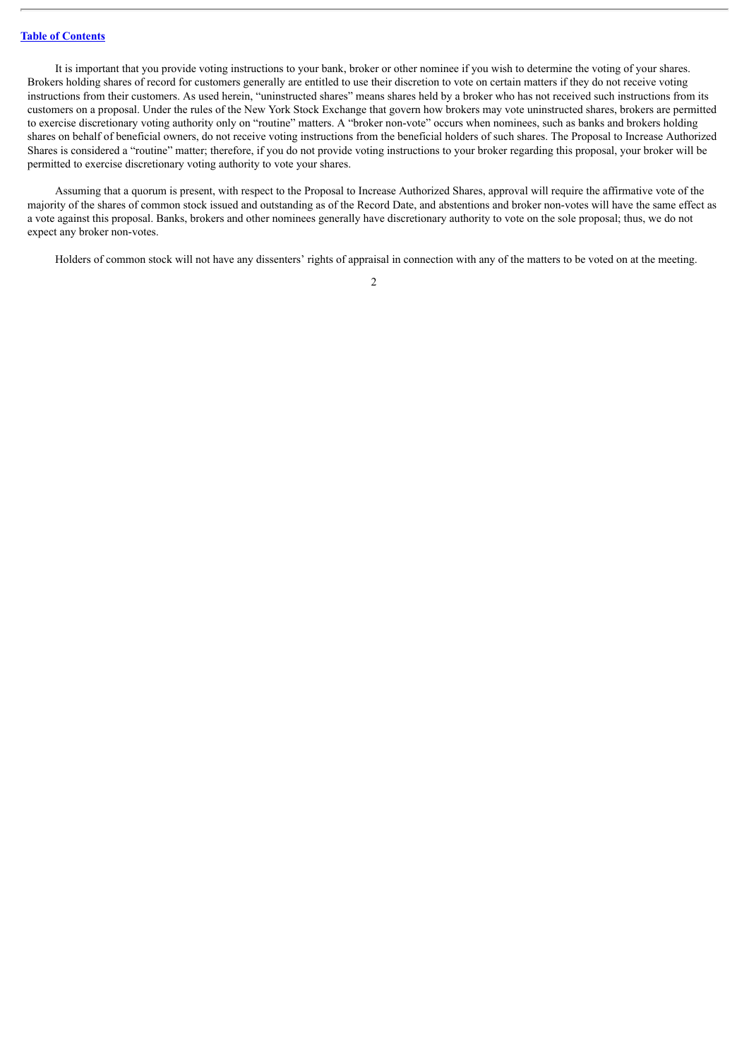It is important that you provide voting instructions to your bank, broker or other nominee if you wish to determine the voting of your shares. Brokers holding shares of record for customers generally are entitled to use their discretion to vote on certain matters if they do not receive voting instructions from their customers. As used herein, "uninstructed shares" means shares held by a broker who has not received such instructions from its customers on a proposal. Under the rules of the New York Stock Exchange that govern how brokers may vote uninstructed shares, brokers are permitted to exercise discretionary voting authority only on "routine" matters. A "broker non-vote" occurs when nominees, such as banks and brokers holding shares on behalf of beneficial owners, do not receive voting instructions from the beneficial holders of such shares. The Proposal to Increase Authorized Shares is considered a "routine" matter; therefore, if you do not provide voting instructions to your broker regarding this proposal, your broker will be permitted to exercise discretionary voting authority to vote your shares.

Assuming that a quorum is present, with respect to the Proposal to Increase Authorized Shares, approval will require the affirmative vote of the majority of the shares of common stock issued and outstanding as of the Record Date, and abstentions and broker non-votes will have the same effect as a vote against this proposal. Banks, brokers and other nominees generally have discretionary authority to vote on the sole proposal; thus, we do not expect any broker non-votes.

Holders of common stock will not have any dissenters' rights of appraisal in connection with any of the matters to be voted on at the meeting.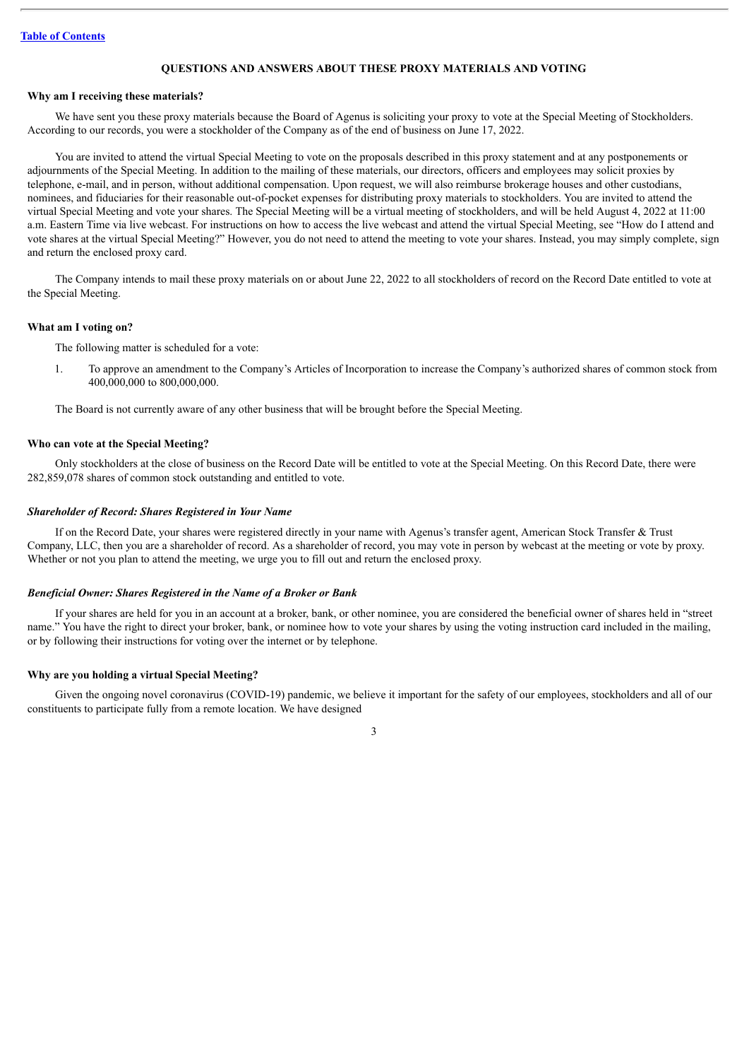#### **QUESTIONS AND ANSWERS ABOUT THESE PROXY MATERIALS AND VOTING**

#### <span id="page-5-0"></span>**Why am I receiving these materials?**

We have sent you these proxy materials because the Board of Agenus is soliciting your proxy to vote at the Special Meeting of Stockholders. According to our records, you were a stockholder of the Company as of the end of business on June 17, 2022.

You are invited to attend the virtual Special Meeting to vote on the proposals described in this proxy statement and at any postponements or adjournments of the Special Meeting. In addition to the mailing of these materials, our directors, officers and employees may solicit proxies by telephone, e-mail, and in person, without additional compensation. Upon request, we will also reimburse brokerage houses and other custodians, nominees, and fiduciaries for their reasonable out-of-pocket expenses for distributing proxy materials to stockholders. You are invited to attend the virtual Special Meeting and vote your shares. The Special Meeting will be a virtual meeting of stockholders, and will be held August 4, 2022 at 11:00 a.m. Eastern Time via live webcast. For instructions on how to access the live webcast and attend the virtual Special Meeting, see "How do I attend and vote shares at the virtual Special Meeting?" However, you do not need to attend the meeting to vote your shares. Instead, you may simply complete, sign and return the enclosed proxy card.

The Company intends to mail these proxy materials on or about June 22, 2022 to all stockholders of record on the Record Date entitled to vote at the Special Meeting.

#### **What am I voting on?**

The following matter is scheduled for a vote:

1. To approve an amendment to the Company's Articles of Incorporation to increase the Company's authorized shares of common stock from 400,000,000 to 800,000,000.

The Board is not currently aware of any other business that will be brought before the Special Meeting.

#### **Who can vote at the Special Meeting?**

Only stockholders at the close of business on the Record Date will be entitled to vote at the Special Meeting. On this Record Date, there were 282,859,078 shares of common stock outstanding and entitled to vote.

#### *Shareholder of Record: Shares Registered in Your Name*

If on the Record Date, your shares were registered directly in your name with Agenus's transfer agent, American Stock Transfer & Trust Company, LLC, then you are a shareholder of record. As a shareholder of record, you may vote in person by webcast at the meeting or vote by proxy. Whether or not you plan to attend the meeting, we urge you to fill out and return the enclosed proxy.

#### *Beneficial Owner: Shares Registered in the Name of a Broker or Bank*

If your shares are held for you in an account at a broker, bank, or other nominee, you are considered the beneficial owner of shares held in "street name." You have the right to direct your broker, bank, or nominee how to vote your shares by using the voting instruction card included in the mailing, or by following their instructions for voting over the internet or by telephone.

#### **Why are you holding a virtual Special Meeting?**

Given the ongoing novel coronavirus (COVID-19) pandemic, we believe it important for the safety of our employees, stockholders and all of our constituents to participate fully from a remote location. We have designed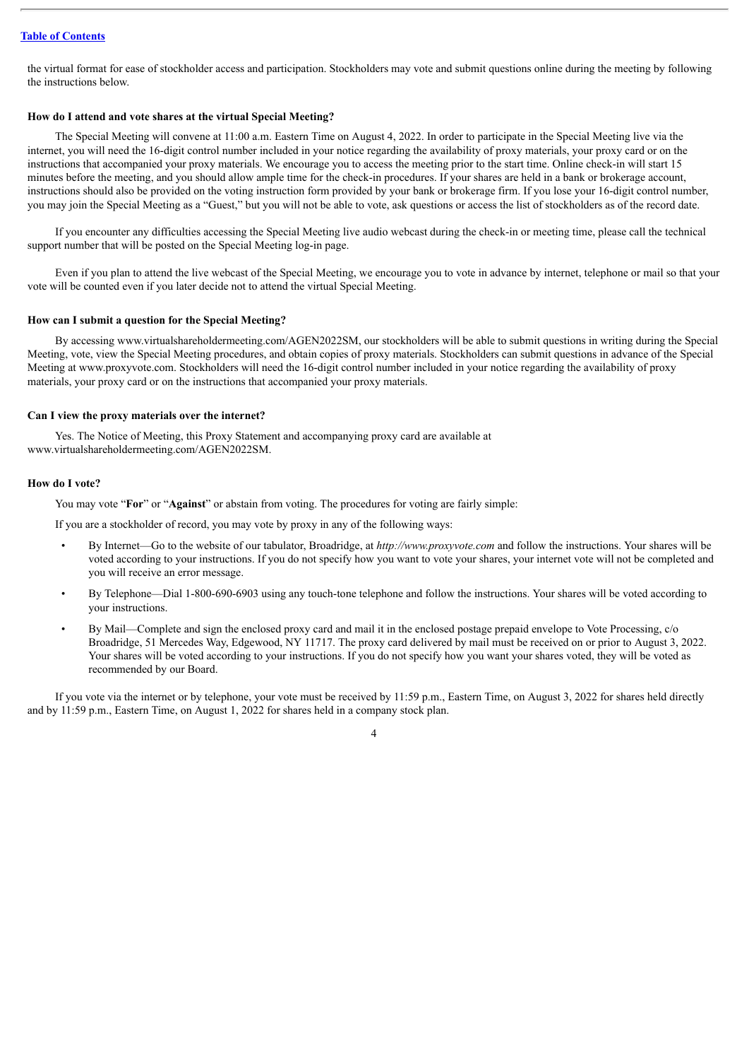the virtual format for ease of stockholder access and participation. Stockholders may vote and submit questions online during the meeting by following the instructions below.

#### **How do I attend and vote shares at the virtual Special Meeting?**

The Special Meeting will convene at 11:00 a.m. Eastern Time on August 4, 2022. In order to participate in the Special Meeting live via the internet, you will need the 16-digit control number included in your notice regarding the availability of proxy materials, your proxy card or on the instructions that accompanied your proxy materials. We encourage you to access the meeting prior to the start time. Online check-in will start 15 minutes before the meeting, and you should allow ample time for the check-in procedures. If your shares are held in a bank or brokerage account, instructions should also be provided on the voting instruction form provided by your bank or brokerage firm. If you lose your 16-digit control number, you may join the Special Meeting as a "Guest," but you will not be able to vote, ask questions or access the list of stockholders as of the record date.

If you encounter any difficulties accessing the Special Meeting live audio webcast during the check-in or meeting time, please call the technical support number that will be posted on the Special Meeting log-in page.

Even if you plan to attend the live webcast of the Special Meeting, we encourage you to vote in advance by internet, telephone or mail so that your vote will be counted even if you later decide not to attend the virtual Special Meeting.

#### **How can I submit a question for the Special Meeting?**

By accessing www.virtualshareholdermeeting.com/AGEN2022SM, our stockholders will be able to submit questions in writing during the Special Meeting, vote, view the Special Meeting procedures, and obtain copies of proxy materials. Stockholders can submit questions in advance of the Special Meeting at www.proxyvote.com. Stockholders will need the 16-digit control number included in your notice regarding the availability of proxy materials, your proxy card or on the instructions that accompanied your proxy materials.

#### **Can I view the proxy materials over the internet?**

Yes. The Notice of Meeting, this Proxy Statement and accompanying proxy card are available at www.virtualshareholdermeeting.com/AGEN2022SM.

#### **How do I vote?**

You may vote "**For**" or "**Against**" or abstain from voting. The procedures for voting are fairly simple:

If you are a stockholder of record, you may vote by proxy in any of the following ways:

- By Internet—Go to the website of our tabulator, Broadridge, at *http://www.proxyvote.com* and follow the instructions. Your shares will be voted according to your instructions. If you do not specify how you want to vote your shares, your internet vote will not be completed and you will receive an error message.
- By Telephone—Dial 1-800-690-6903 using any touch-tone telephone and follow the instructions. Your shares will be voted according to your instructions.
- By Mail—Complete and sign the enclosed proxy card and mail it in the enclosed postage prepaid envelope to Vote Processing, c/o Broadridge, 51 Mercedes Way, Edgewood, NY 11717. The proxy card delivered by mail must be received on or prior to August 3, 2022. Your shares will be voted according to your instructions. If you do not specify how you want your shares voted, they will be voted as recommended by our Board.

If you vote via the internet or by telephone, your vote must be received by 11:59 p.m., Eastern Time, on August 3, 2022 for shares held directly and by 11:59 p.m., Eastern Time, on August 1, 2022 for shares held in a company stock plan.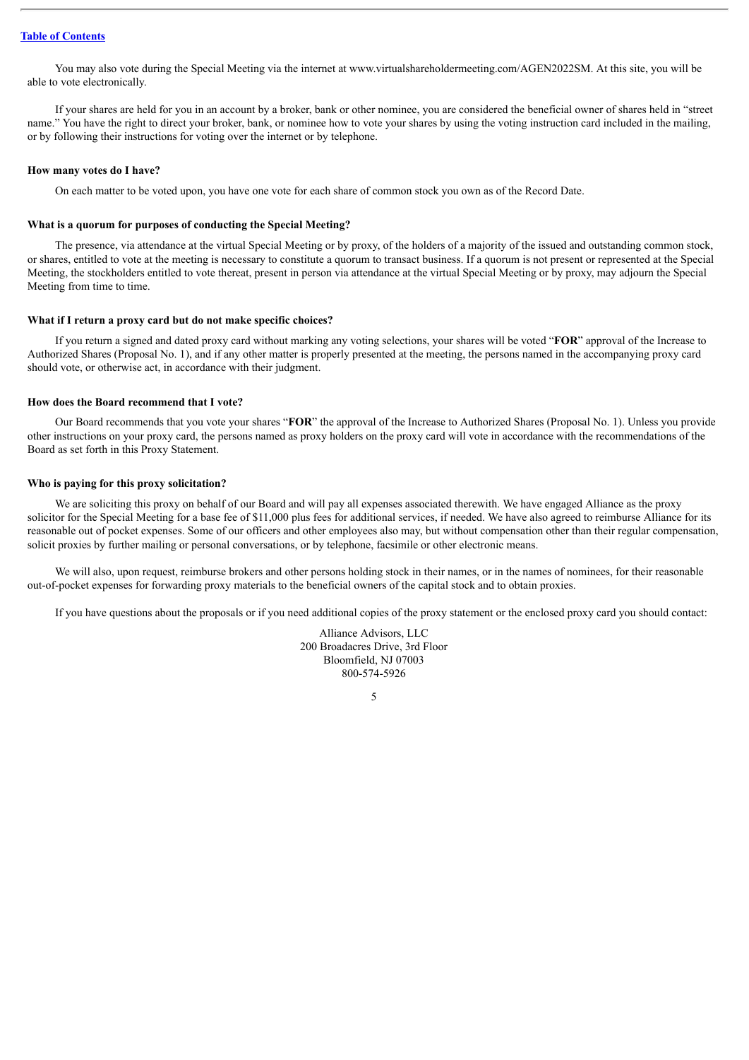You may also vote during the Special Meeting via the internet at www.virtualshareholdermeeting.com/AGEN2022SM. At this site, you will be able to vote electronically.

If your shares are held for you in an account by a broker, bank or other nominee, you are considered the beneficial owner of shares held in "street name." You have the right to direct your broker, bank, or nominee how to vote your shares by using the voting instruction card included in the mailing, or by following their instructions for voting over the internet or by telephone.

#### **How many votes do I have?**

On each matter to be voted upon, you have one vote for each share of common stock you own as of the Record Date.

#### **What is a quorum for purposes of conducting the Special Meeting?**

The presence, via attendance at the virtual Special Meeting or by proxy, of the holders of a majority of the issued and outstanding common stock, or shares, entitled to vote at the meeting is necessary to constitute a quorum to transact business. If a quorum is not present or represented at the Special Meeting, the stockholders entitled to vote thereat, present in person via attendance at the virtual Special Meeting or by proxy, may adjourn the Special Meeting from time to time.

#### **What if I return a proxy card but do not make specific choices?**

If you return a signed and dated proxy card without marking any voting selections, your shares will be voted "**FOR**" approval of the Increase to Authorized Shares (Proposal No. 1), and if any other matter is properly presented at the meeting, the persons named in the accompanying proxy card should vote, or otherwise act, in accordance with their judgment.

#### **How does the Board recommend that I vote?**

Our Board recommends that you vote your shares "**FOR**" the approval of the Increase to Authorized Shares (Proposal No. 1). Unless you provide other instructions on your proxy card, the persons named as proxy holders on the proxy card will vote in accordance with the recommendations of the Board as set forth in this Proxy Statement.

#### **Who is paying for this proxy solicitation?**

We are soliciting this proxy on behalf of our Board and will pay all expenses associated therewith. We have engaged Alliance as the proxy solicitor for the Special Meeting for a base fee of \$11,000 plus fees for additional services, if needed. We have also agreed to reimburse Alliance for its reasonable out of pocket expenses. Some of our officers and other employees also may, but without compensation other than their regular compensation, solicit proxies by further mailing or personal conversations, or by telephone, facsimile or other electronic means.

We will also, upon request, reimburse brokers and other persons holding stock in their names, or in the names of nominees, for their reasonable out-of-pocket expenses for forwarding proxy materials to the beneficial owners of the capital stock and to obtain proxies.

If you have questions about the proposals or if you need additional copies of the proxy statement or the enclosed proxy card you should contact:

Alliance Advisors, LLC 200 Broadacres Drive, 3rd Floor Bloomfield, NJ 07003 800-574-5926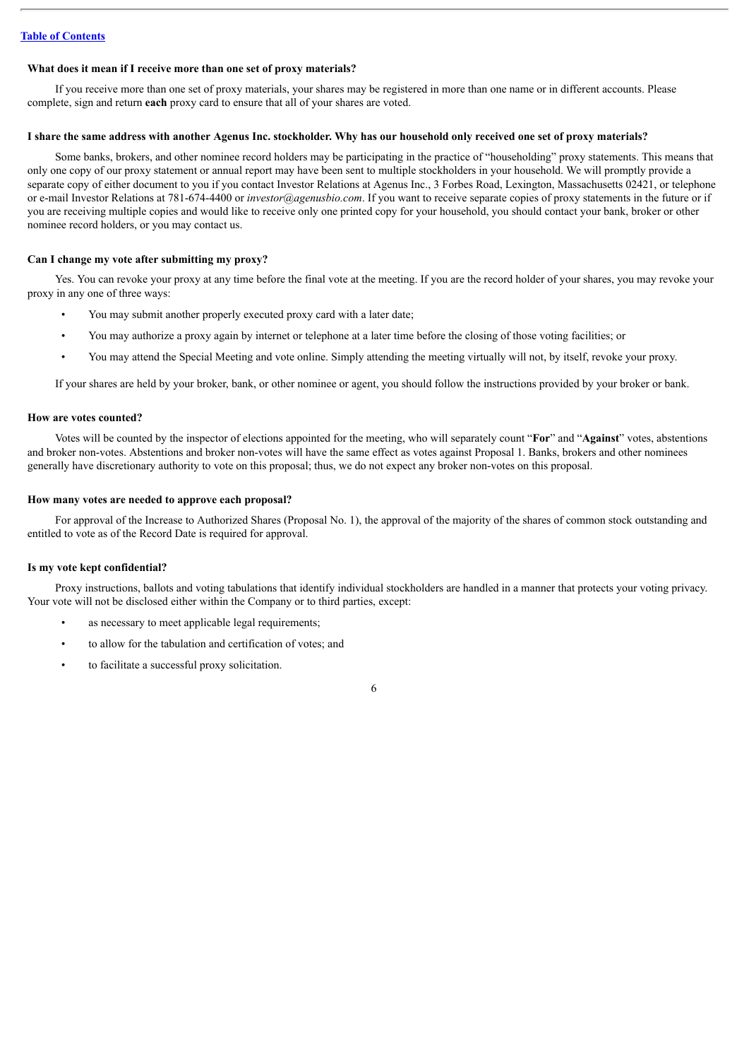#### **What does it mean if I receive more than one set of proxy materials?**

If you receive more than one set of proxy materials, your shares may be registered in more than one name or in different accounts. Please complete, sign and return **each** proxy card to ensure that all of your shares are voted.

#### I share the same address with another Agenus Inc. stockholder. Why has our household only received one set of proxy materials?

Some banks, brokers, and other nominee record holders may be participating in the practice of "householding" proxy statements. This means that only one copy of our proxy statement or annual report may have been sent to multiple stockholders in your household. We will promptly provide a separate copy of either document to you if you contact Investor Relations at Agenus Inc., 3 Forbes Road, Lexington, Massachusetts 02421, or telephone or e-mail Investor Relations at 781-674-4400 or *investor@agenusbio.com*. If you want to receive separate copies of proxy statements in the future or if you are receiving multiple copies and would like to receive only one printed copy for your household, you should contact your bank, broker or other nominee record holders, or you may contact us.

#### **Can I change my vote after submitting my proxy?**

Yes. You can revoke your proxy at any time before the final vote at the meeting. If you are the record holder of your shares, you may revoke your proxy in any one of three ways:

- You may submit another properly executed proxy card with a later date;
- You may authorize a proxy again by internet or telephone at a later time before the closing of those voting facilities; or
- You may attend the Special Meeting and vote online. Simply attending the meeting virtually will not, by itself, revoke your proxy.

If your shares are held by your broker, bank, or other nominee or agent, you should follow the instructions provided by your broker or bank.

#### **How are votes counted?**

Votes will be counted by the inspector of elections appointed for the meeting, who will separately count "**For**" and "**Against**" votes, abstentions and broker non-votes. Abstentions and broker non-votes will have the same effect as votes against Proposal 1. Banks, brokers and other nominees generally have discretionary authority to vote on this proposal; thus, we do not expect any broker non-votes on this proposal.

#### **How many votes are needed to approve each proposal?**

For approval of the Increase to Authorized Shares (Proposal No. 1), the approval of the majority of the shares of common stock outstanding and entitled to vote as of the Record Date is required for approval.

#### **Is my vote kept confidential?**

Proxy instructions, ballots and voting tabulations that identify individual stockholders are handled in a manner that protects your voting privacy. Your vote will not be disclosed either within the Company or to third parties, except:

- as necessary to meet applicable legal requirements;
- to allow for the tabulation and certification of votes; and
- to facilitate a successful proxy solicitation.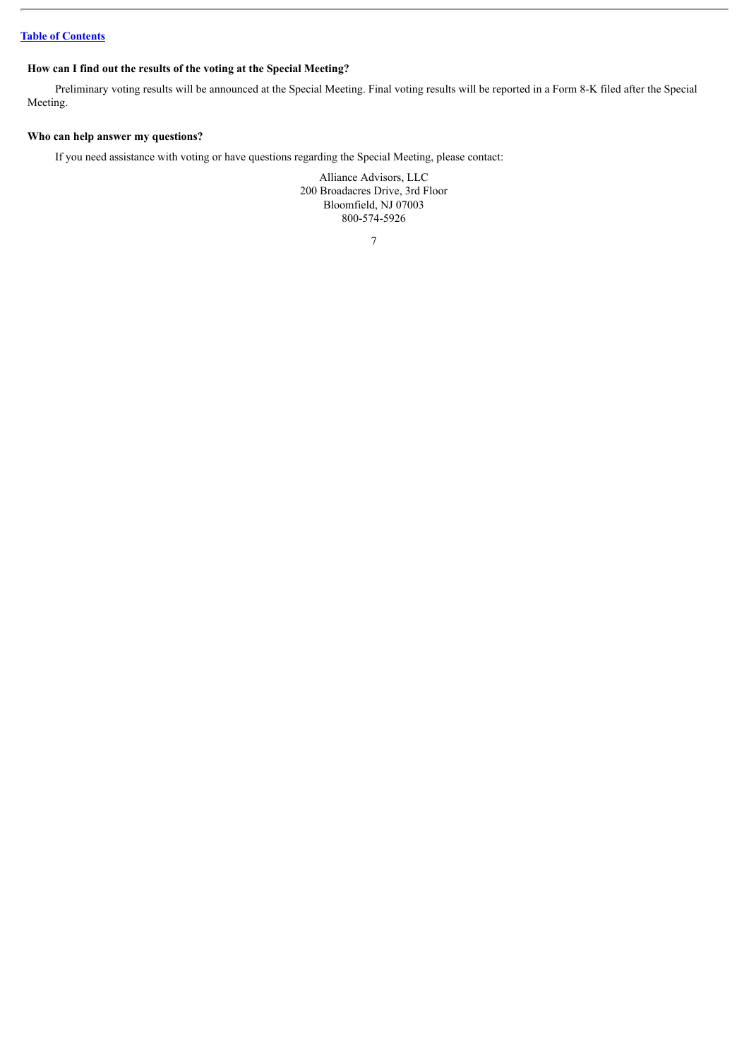### **How can I find out the results of the voting at the Special Meeting?**

Preliminary voting results will be announced at the Special Meeting. Final voting results will be reported in a Form 8-K filed after the Special Meeting.

#### **Who can help answer my questions?**

If you need assistance with voting or have questions regarding the Special Meeting, please contact:

Alliance Advisors, LLC 200 Broadacres Drive, 3rd Floor Bloomfield, NJ 07003 800-574-5926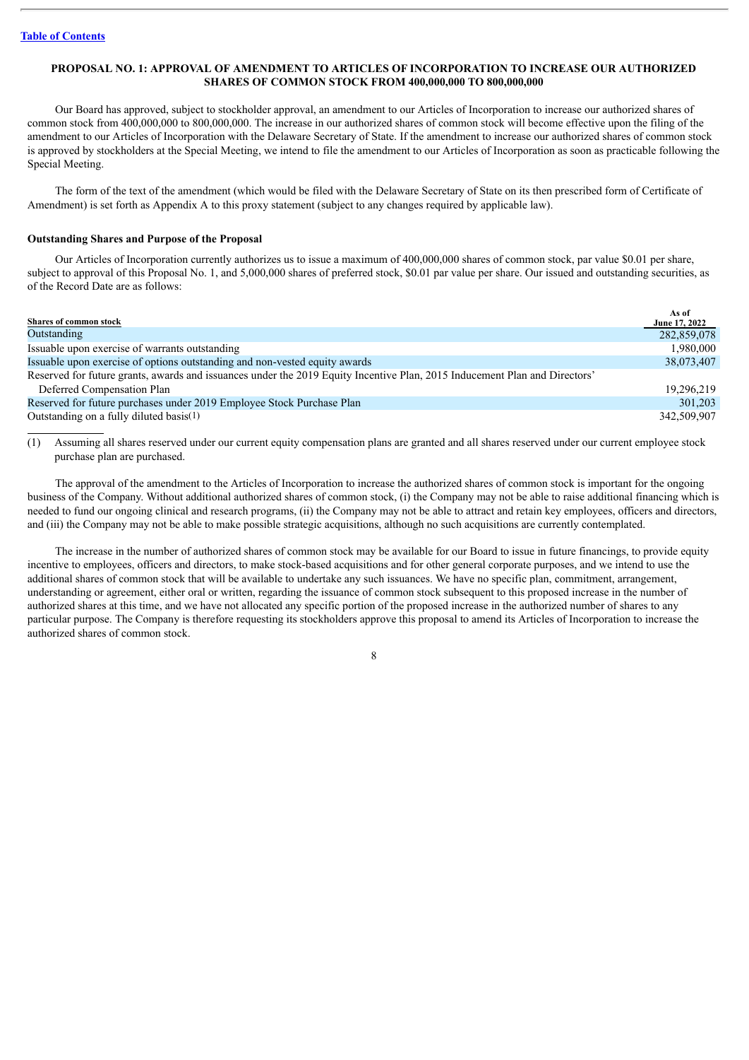#### <span id="page-10-0"></span>**PROPOSAL NO. 1: APPROVAL OF AMENDMENT TO ARTICLES OF INCORPORATION TO INCREASE OUR AUTHORIZED SHARES OF COMMON STOCK FROM 400,000,000 TO 800,000,000**

Our Board has approved, subject to stockholder approval, an amendment to our Articles of Incorporation to increase our authorized shares of common stock from 400,000,000 to 800,000,000. The increase in our authorized shares of common stock will become effective upon the filing of the amendment to our Articles of Incorporation with the Delaware Secretary of State. If the amendment to increase our authorized shares of common stock is approved by stockholders at the Special Meeting, we intend to file the amendment to our Articles of Incorporation as soon as practicable following the Special Meeting.

The form of the text of the amendment (which would be filed with the Delaware Secretary of State on its then prescribed form of Certificate of Amendment) is set forth as Appendix A to this proxy statement (subject to any changes required by applicable law).

#### **Outstanding Shares and Purpose of the Proposal**

Our Articles of Incorporation currently authorizes us to issue a maximum of 400,000,000 shares of common stock, par value \$0.01 per share, subject to approval of this Proposal No. 1, and 5,000,000 shares of preferred stock, \$0.01 par value per share. Our issued and outstanding securities, as of the Record Date are as follows:

| <b>Shares of common stock</b>                                                                                              | As of<br>June 17, 2022 |
|----------------------------------------------------------------------------------------------------------------------------|------------------------|
| Outstanding                                                                                                                | 282,859,078            |
| Issuable upon exercise of warrants outstanding                                                                             | 1,980,000              |
| Issuable upon exercise of options outstanding and non-vested equity awards                                                 | 38,073,407             |
| Reserved for future grants, awards and issuances under the 2019 Equity Incentive Plan, 2015 Inducement Plan and Directors' |                        |
| Deferred Compensation Plan                                                                                                 | 19.296.219             |
| Reserved for future purchases under 2019 Employee Stock Purchase Plan                                                      | 301,203                |
| Outstanding on a fully diluted basis(1)                                                                                    | 342,509,907            |

(1) Assuming all shares reserved under our current equity compensation plans are granted and all shares reserved under our current employee stock purchase plan are purchased.

The approval of the amendment to the Articles of Incorporation to increase the authorized shares of common stock is important for the ongoing business of the Company. Without additional authorized shares of common stock, (i) the Company may not be able to raise additional financing which is needed to fund our ongoing clinical and research programs, (ii) the Company may not be able to attract and retain key employees, officers and directors, and (iii) the Company may not be able to make possible strategic acquisitions, although no such acquisitions are currently contemplated.

The increase in the number of authorized shares of common stock may be available for our Board to issue in future financings, to provide equity incentive to employees, officers and directors, to make stock-based acquisitions and for other general corporate purposes, and we intend to use the additional shares of common stock that will be available to undertake any such issuances. We have no specific plan, commitment, arrangement, understanding or agreement, either oral or written, regarding the issuance of common stock subsequent to this proposed increase in the number of authorized shares at this time, and we have not allocated any specific portion of the proposed increase in the authorized number of shares to any particular purpose. The Company is therefore requesting its stockholders approve this proposal to amend its Articles of Incorporation to increase the authorized shares of common stock.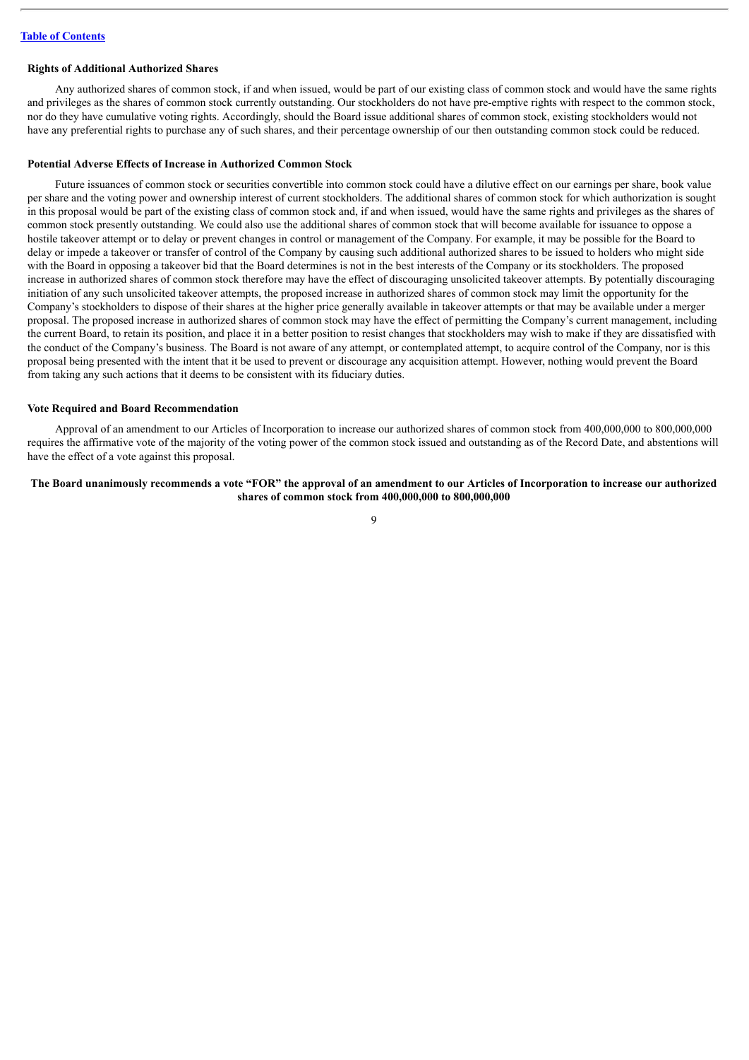#### **Rights of Additional Authorized Shares**

Any authorized shares of common stock, if and when issued, would be part of our existing class of common stock and would have the same rights and privileges as the shares of common stock currently outstanding. Our stockholders do not have pre-emptive rights with respect to the common stock, nor do they have cumulative voting rights. Accordingly, should the Board issue additional shares of common stock, existing stockholders would not have any preferential rights to purchase any of such shares, and their percentage ownership of our then outstanding common stock could be reduced.

#### **Potential Adverse Effects of Increase in Authorized Common Stock**

Future issuances of common stock or securities convertible into common stock could have a dilutive effect on our earnings per share, book value per share and the voting power and ownership interest of current stockholders. The additional shares of common stock for which authorization is sought in this proposal would be part of the existing class of common stock and, if and when issued, would have the same rights and privileges as the shares of common stock presently outstanding. We could also use the additional shares of common stock that will become available for issuance to oppose a hostile takeover attempt or to delay or prevent changes in control or management of the Company. For example, it may be possible for the Board to delay or impede a takeover or transfer of control of the Company by causing such additional authorized shares to be issued to holders who might side with the Board in opposing a takeover bid that the Board determines is not in the best interests of the Company or its stockholders. The proposed increase in authorized shares of common stock therefore may have the effect of discouraging unsolicited takeover attempts. By potentially discouraging initiation of any such unsolicited takeover attempts, the proposed increase in authorized shares of common stock may limit the opportunity for the Company's stockholders to dispose of their shares at the higher price generally available in takeover attempts or that may be available under a merger proposal. The proposed increase in authorized shares of common stock may have the effect of permitting the Company's current management, including the current Board, to retain its position, and place it in a better position to resist changes that stockholders may wish to make if they are dissatisfied with the conduct of the Company's business. The Board is not aware of any attempt, or contemplated attempt, to acquire control of the Company, nor is this proposal being presented with the intent that it be used to prevent or discourage any acquisition attempt. However, nothing would prevent the Board from taking any such actions that it deems to be consistent with its fiduciary duties.

#### **Vote Required and Board Recommendation**

Approval of an amendment to our Articles of Incorporation to increase our authorized shares of common stock from 400,000,000 to 800,000,000 requires the affirmative vote of the majority of the voting power of the common stock issued and outstanding as of the Record Date, and abstentions will have the effect of a vote against this proposal.

#### The Board unanimously recommends a vote "FOR" the approval of an amendment to our Articles of Incorporation to increase our authorized **shares of common stock from 400,000,000 to 800,000,000**

 $\overline{Q}$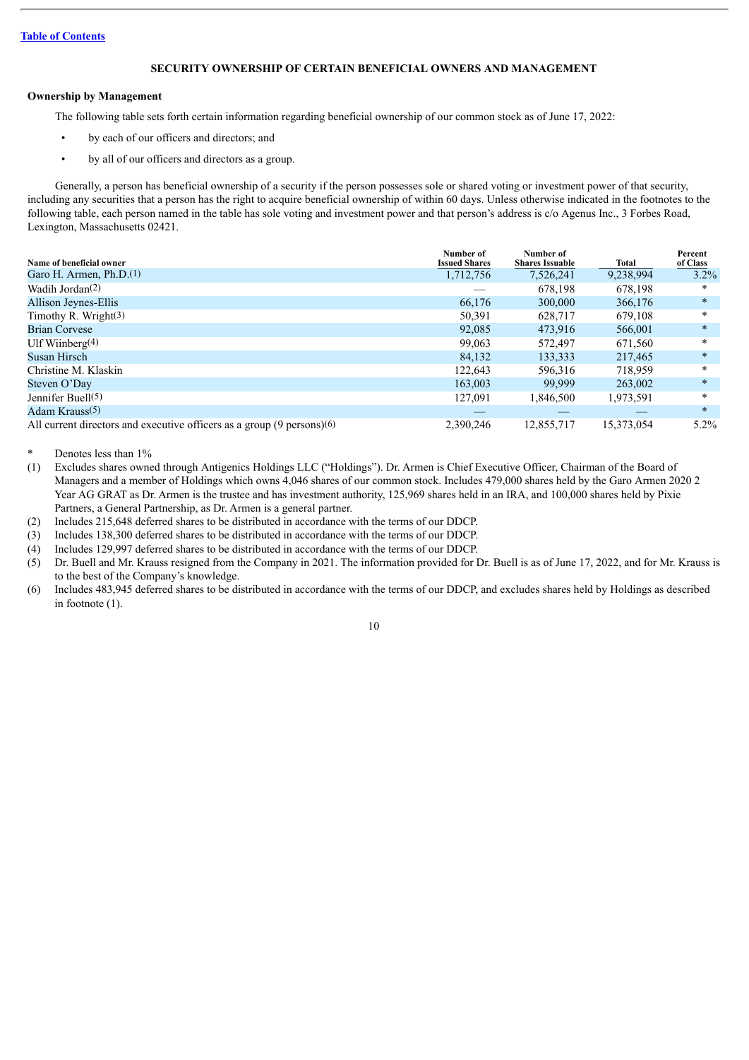#### **SECURITY OWNERSHIP OF CERTAIN BENEFICIAL OWNERS AND MANAGEMENT**

#### <span id="page-12-0"></span>**Ownership by Management**

The following table sets forth certain information regarding beneficial ownership of our common stock as of June 17, 2022:

- by each of our officers and directors; and
- by all of our officers and directors as a group.

Generally, a person has beneficial ownership of a security if the person possesses sole or shared voting or investment power of that security, including any securities that a person has the right to acquire beneficial ownership of within 60 days. Unless otherwise indicated in the footnotes to the following table, each person named in the table has sole voting and investment power and that person's address is c/o Agenus Inc., 3 Forbes Road, Lexington, Massachusetts 02421.

| Name of beneficial owner                                               | Number of<br><b>Issued Shares</b> | Number of<br><b>Shares Issuable</b> | Total      | Percent<br>of Class |
|------------------------------------------------------------------------|-----------------------------------|-------------------------------------|------------|---------------------|
| Garo H. Armen, $Ph.D.(1)$                                              | 1,712,756                         | 7,526,241                           | 9,238,994  | $3.2\%$             |
| Wadih Jordan <sup>(2)</sup>                                            |                                   | 678.198                             | 678,198    | *                   |
| Allison Jeynes-Ellis                                                   | 66,176                            | 300,000                             | 366,176    | $\ast$              |
| Timothy R. Wright $(3)$                                                | 50,391                            | 628.717                             | 679.108    | $\ast$              |
| <b>Brian Corvese</b>                                                   | 92,085                            | 473.916                             | 566,001    | $\ast$              |
| Ulf Wiinberg $(4)$                                                     | 99,063                            | 572.497                             | 671,560    | $\ast$              |
| Susan Hirsch                                                           | 84.132                            | 133,333                             | 217.465    | $\ast$              |
| Christine M. Klaskin                                                   | 122.643                           | 596.316                             | 718.959    | $\ast$              |
| Steven O'Day                                                           | 163,003                           | 99.999                              | 263,002    | $\ast$              |
| Jennifer Buell $(5)$                                                   | 127,091                           | 1,846,500                           | 1,973,591  | $\ast$              |
| Adam Krauss(5)                                                         |                                   |                                     |            | $\ast$              |
| All current directors and executive officers as a group (9 persons)(6) | 2,390,246                         | 12,855,717                          | 15,373,054 | $5.2\%$             |

Denotes less than 1%

(1) Excludes shares owned through Antigenics Holdings LLC ("Holdings"). Dr. Armen is Chief Executive Officer, Chairman of the Board of Managers and a member of Holdings which owns 4,046 shares of our common stock. Includes 479,000 shares held by the Garo Armen 2020 2 Year AG GRAT as Dr. Armen is the trustee and has investment authority, 125,969 shares held in an IRA, and 100,000 shares held by Pixie Partners, a General Partnership, as Dr. Armen is a general partner.

- (2) Includes 215,648 deferred shares to be distributed in accordance with the terms of our DDCP.
- (3) Includes 138,300 deferred shares to be distributed in accordance with the terms of our DDCP.
- (4) Includes 129,997 deferred shares to be distributed in accordance with the terms of our DDCP.
- (5) Dr. Buell and Mr. Krauss resigned from the Company in 2021. The information provided for Dr. Buell is as of June 17, 2022, and for Mr. Krauss is to the best of the Company's knowledge.
- (6) Includes 483,945 deferred shares to be distributed in accordance with the terms of our DDCP, and excludes shares held by Holdings as described in footnote (1).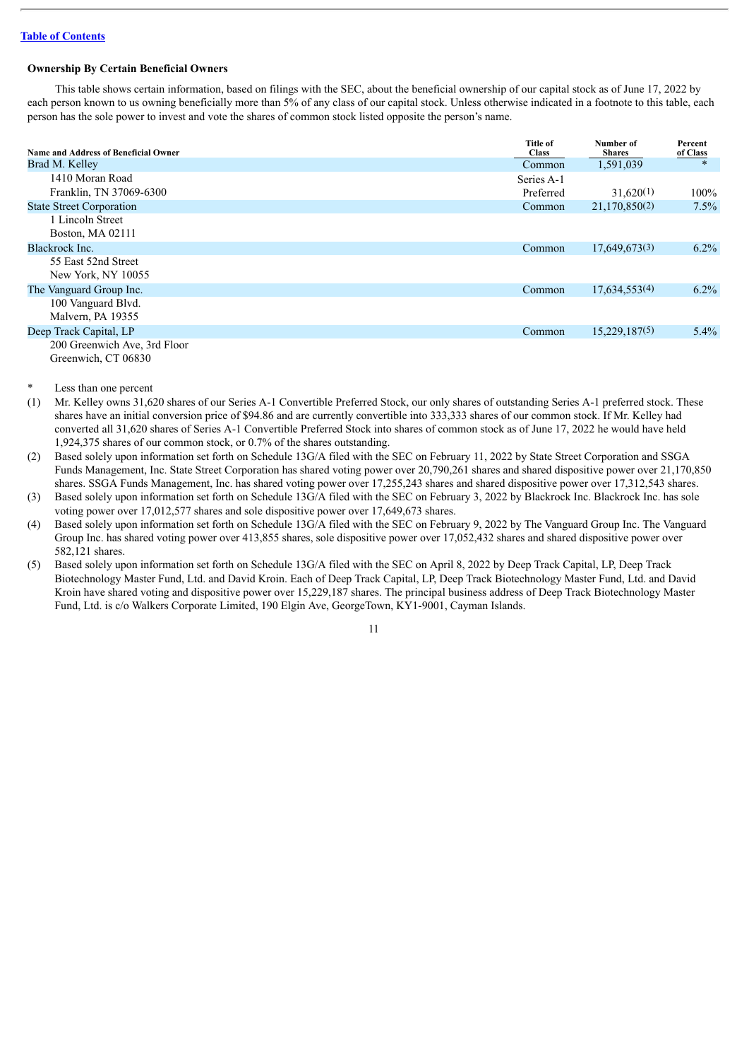#### **Ownership By Certain Beneficial Owners**

This table shows certain information, based on filings with the SEC, about the beneficial ownership of our capital stock as of June 17, 2022 by each person known to us owning beneficially more than 5% of any class of our capital stock. Unless otherwise indicated in a footnote to this table, each person has the sole power to invest and vote the shares of common stock listed opposite the person's name.

| <b>Name and Address of Beneficial Owner</b>         | <b>Title of</b><br><b>Class</b> | Number of<br><b>Shares</b> | Percent<br>of Class |
|-----------------------------------------------------|---------------------------------|----------------------------|---------------------|
| Brad M. Kelley                                      | Common                          | 1,591,039                  | $\ast$              |
| 1410 Moran Road                                     | Series A-1                      |                            |                     |
| Franklin, TN 37069-6300                             | Preferred                       | 31,620(1)                  | $100\%$             |
| <b>State Street Corporation</b>                     | Common                          | 21,170,850(2)              | $7.5\%$             |
| 1 Lincoln Street<br>Boston, MA 02111                |                                 |                            |                     |
| Blackrock Inc.                                      | Common                          | 17,649,673(3)              | $6.2\%$             |
| 55 East 52nd Street<br>New York, NY 10055           |                                 |                            |                     |
| The Vanguard Group Inc.                             | Common                          | 17,634,553(4)              | $6.2\%$             |
| 100 Vanguard Blvd.<br>Malvern, PA 19355             |                                 |                            |                     |
| Deep Track Capital, LP                              | Common                          | 15,229,187(5)              | $5.4\%$             |
| 200 Greenwich Ave, 3rd Floor<br>Greenwich, CT 06830 |                                 |                            |                     |

#### Less than one percent

(1) Mr. Kelley owns 31,620 shares of our Series A-1 Convertible Preferred Stock, our only shares of outstanding Series A-1 preferred stock. These shares have an initial conversion price of \$94.86 and are currently convertible into 333,333 shares of our common stock. If Mr. Kelley had converted all 31,620 shares of Series A-1 Convertible Preferred Stock into shares of common stock as of June 17, 2022 he would have held 1,924,375 shares of our common stock, or 0.7% of the shares outstanding.

(2) Based solely upon information set forth on Schedule 13G/A filed with the SEC on February 11, 2022 by State Street Corporation and SSGA Funds Management, Inc. State Street Corporation has shared voting power over 20,790,261 shares and shared dispositive power over 21,170,850 shares. SSGA Funds Management, Inc. has shared voting power over 17,255,243 shares and shared dispositive power over 17,312,543 shares.

(3) Based solely upon information set forth on Schedule 13G/A filed with the SEC on February 3, 2022 by Blackrock Inc. Blackrock Inc. has sole voting power over 17,012,577 shares and sole dispositive power over 17,649,673 shares.

(4) Based solely upon information set forth on Schedule 13G/A filed with the SEC on February 9, 2022 by The Vanguard Group Inc. The Vanguard Group Inc. has shared voting power over 413,855 shares, sole dispositive power over 17,052,432 shares and shared dispositive power over 582,121 shares.

(5) Based solely upon information set forth on Schedule 13G/A filed with the SEC on April 8, 2022 by Deep Track Capital, LP, Deep Track Biotechnology Master Fund, Ltd. and David Kroin. Each of Deep Track Capital, LP, Deep Track Biotechnology Master Fund, Ltd. and David Kroin have shared voting and dispositive power over 15,229,187 shares. The principal business address of Deep Track Biotechnology Master Fund, Ltd. is c/o Walkers Corporate Limited, 190 Elgin Ave, GeorgeTown, KY1-9001, Cayman Islands.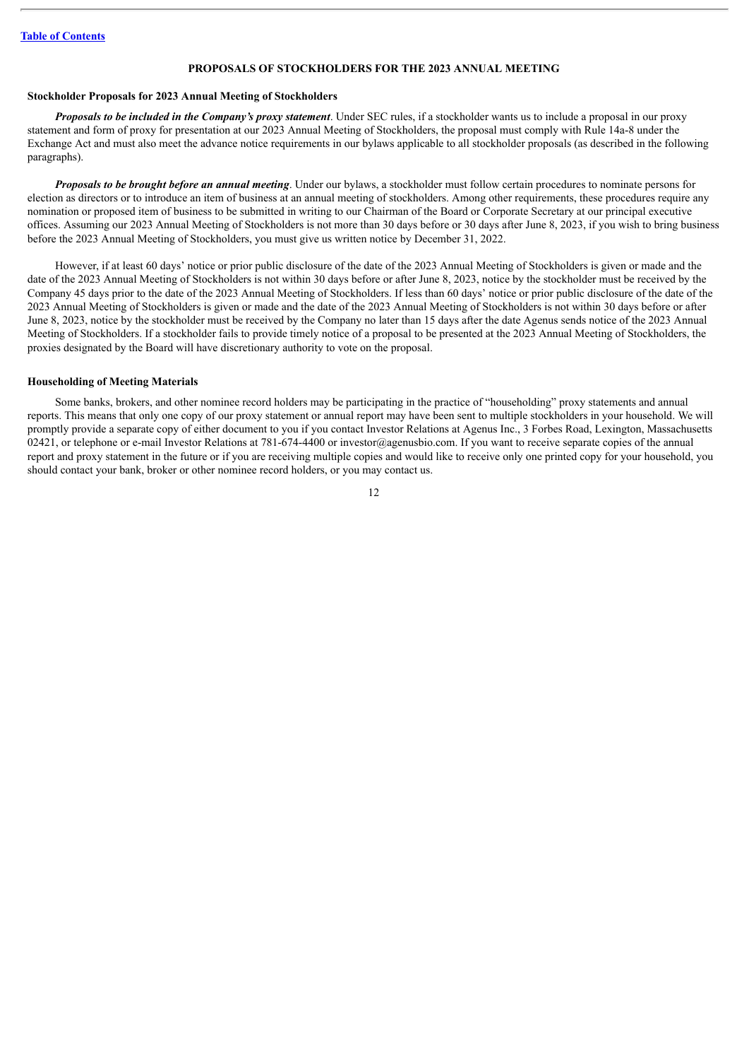#### **PROPOSALS OF STOCKHOLDERS FOR THE 2023 ANNUAL MEETING**

#### <span id="page-14-0"></span>**Stockholder Proposals for 2023 Annual Meeting of Stockholders**

*Proposals to be included in the Company's proxy statement*. Under SEC rules, if a stockholder wants us to include a proposal in our proxy statement and form of proxy for presentation at our 2023 Annual Meeting of Stockholders, the proposal must comply with Rule 14a-8 under the Exchange Act and must also meet the advance notice requirements in our bylaws applicable to all stockholder proposals (as described in the following paragraphs).

*Proposals to be brought before an annual meeting*. Under our bylaws, a stockholder must follow certain procedures to nominate persons for election as directors or to introduce an item of business at an annual meeting of stockholders. Among other requirements, these procedures require any nomination or proposed item of business to be submitted in writing to our Chairman of the Board or Corporate Secretary at our principal executive offices. Assuming our 2023 Annual Meeting of Stockholders is not more than 30 days before or 30 days after June 8, 2023, if you wish to bring business before the 2023 Annual Meeting of Stockholders, you must give us written notice by December 31, 2022.

However, if at least 60 days' notice or prior public disclosure of the date of the 2023 Annual Meeting of Stockholders is given or made and the date of the 2023 Annual Meeting of Stockholders is not within 30 days before or after June 8, 2023, notice by the stockholder must be received by the Company 45 days prior to the date of the 2023 Annual Meeting of Stockholders. If less than 60 days' notice or prior public disclosure of the date of the 2023 Annual Meeting of Stockholders is given or made and the date of the 2023 Annual Meeting of Stockholders is not within 30 days before or after June 8, 2023, notice by the stockholder must be received by the Company no later than 15 days after the date Agenus sends notice of the 2023 Annual Meeting of Stockholders. If a stockholder fails to provide timely notice of a proposal to be presented at the 2023 Annual Meeting of Stockholders, the proxies designated by the Board will have discretionary authority to vote on the proposal.

#### **Householding of Meeting Materials**

Some banks, brokers, and other nominee record holders may be participating in the practice of "householding" proxy statements and annual reports. This means that only one copy of our proxy statement or annual report may have been sent to multiple stockholders in your household. We will promptly provide a separate copy of either document to you if you contact Investor Relations at Agenus Inc., 3 Forbes Road, Lexington, Massachusetts 02421, or telephone or e-mail Investor Relations at 781-674-4400 or investor@agenusbio.com. If you want to receive separate copies of the annual report and proxy statement in the future or if you are receiving multiple copies and would like to receive only one printed copy for your household, you should contact your bank, broker or other nominee record holders, or you may contact us.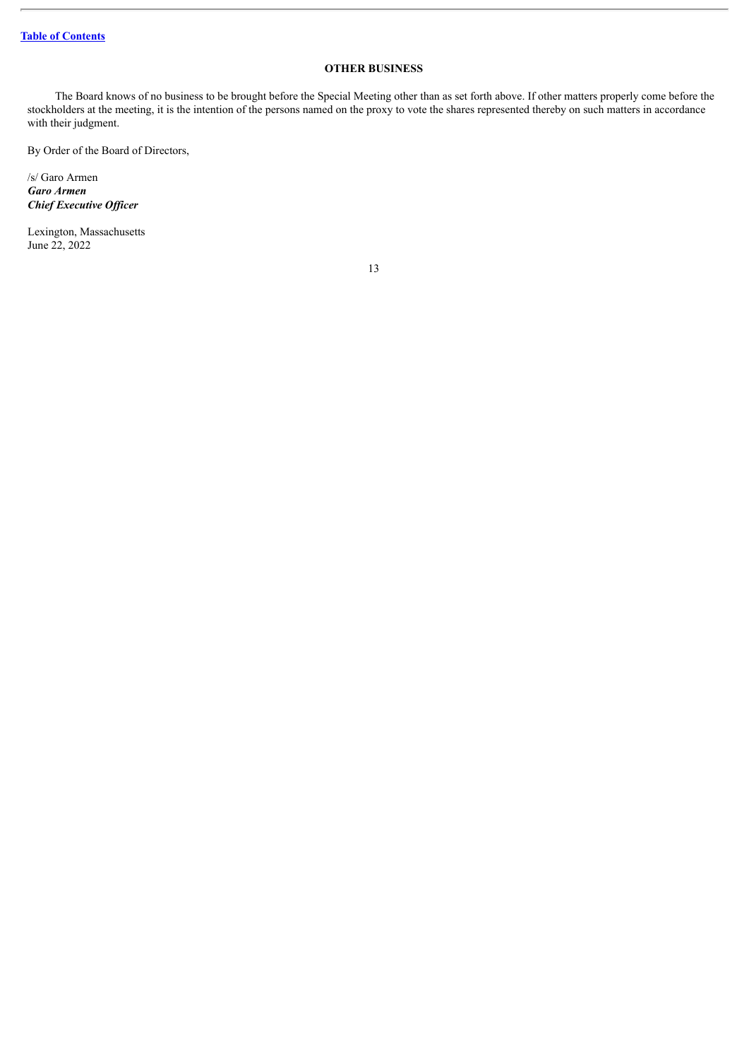### **OTHER BUSINESS**

<span id="page-15-0"></span>The Board knows of no business to be brought before the Special Meeting other than as set forth above. If other matters properly come before the stockholders at the meeting, it is the intention of the persons named on the proxy to vote the shares represented thereby on such matters in accordance with their judgment.

By Order of the Board of Directors,

/s/ Garo Armen *Garo Armen Chief Executive Of icer*

Lexington, Massachusetts June 22, 2022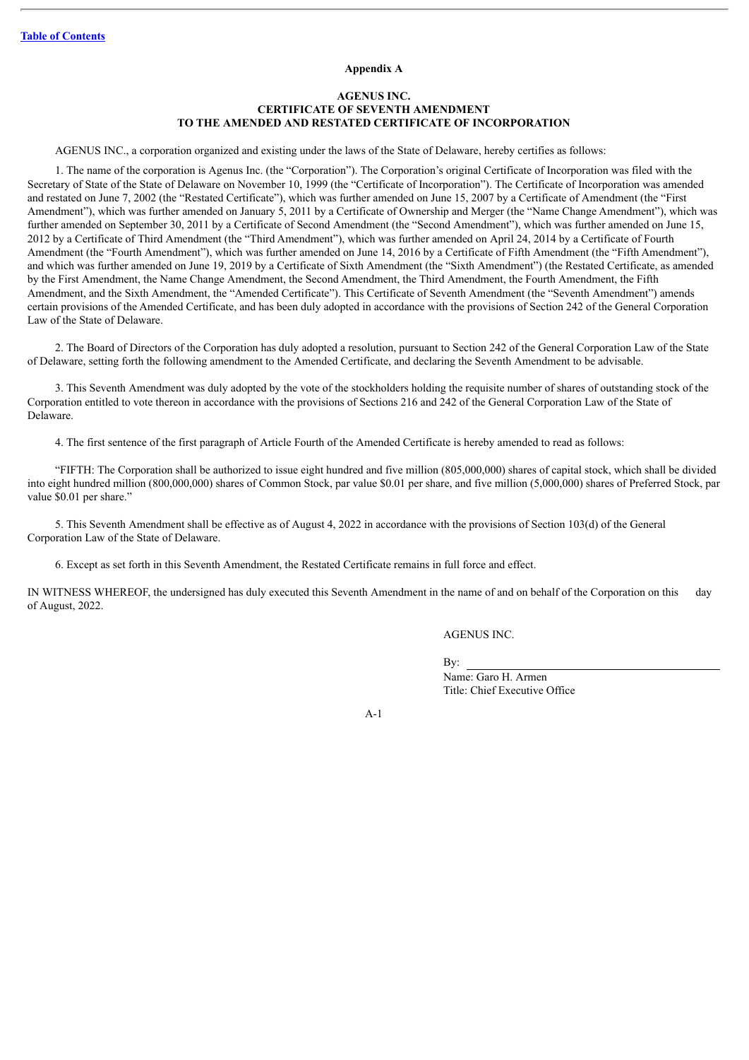#### **Appendix A**

#### **AGENUS INC. CERTIFICATE OF SEVENTH AMENDMENT TO THE AMENDED AND RESTATED CERTIFICATE OF INCORPORATION**

<span id="page-16-0"></span>AGENUS INC., a corporation organized and existing under the laws of the State of Delaware, hereby certifies as follows:

1. The name of the corporation is Agenus Inc. (the "Corporation"). The Corporation's original Certificate of Incorporation was filed with the Secretary of State of the State of Delaware on November 10, 1999 (the "Certificate of Incorporation"). The Certificate of Incorporation was amended and restated on June 7, 2002 (the "Restated Certificate"), which was further amended on June 15, 2007 by a Certificate of Amendment (the "First Amendment"), which was further amended on January 5, 2011 by a Certificate of Ownership and Merger (the "Name Change Amendment"), which was further amended on September 30, 2011 by a Certificate of Second Amendment (the "Second Amendment"), which was further amended on June 15, 2012 by a Certificate of Third Amendment (the "Third Amendment"), which was further amended on April 24, 2014 by a Certificate of Fourth Amendment (the "Fourth Amendment"), which was further amended on June 14, 2016 by a Certificate of Fifth Amendment (the "Fifth Amendment"), and which was further amended on June 19, 2019 by a Certificate of Sixth Amendment (the "Sixth Amendment") (the Restated Certificate, as amended by the First Amendment, the Name Change Amendment, the Second Amendment, the Third Amendment, the Fourth Amendment, the Fifth Amendment, and the Sixth Amendment, the "Amended Certificate"). This Certificate of Seventh Amendment (the "Seventh Amendment") amends certain provisions of the Amended Certificate, and has been duly adopted in accordance with the provisions of Section 242 of the General Corporation Law of the State of Delaware.

2. The Board of Directors of the Corporation has duly adopted a resolution, pursuant to Section 242 of the General Corporation Law of the State of Delaware, setting forth the following amendment to the Amended Certificate, and declaring the Seventh Amendment to be advisable.

3. This Seventh Amendment was duly adopted by the vote of the stockholders holding the requisite number of shares of outstanding stock of the Corporation entitled to vote thereon in accordance with the provisions of Sections 216 and 242 of the General Corporation Law of the State of Delaware.

4. The first sentence of the first paragraph of Article Fourth of the Amended Certificate is hereby amended to read as follows:

"FIFTH: The Corporation shall be authorized to issue eight hundred and five million (805,000,000) shares of capital stock, which shall be divided into eight hundred million (800,000,000) shares of Common Stock, par value \$0.01 per share, and five million (5,000,000) shares of Preferred Stock, par value \$0.01 per share."

5. This Seventh Amendment shall be effective as of August 4, 2022 in accordance with the provisions of Section 103(d) of the General Corporation Law of the State of Delaware.

6. Except as set forth in this Seventh Amendment, the Restated Certificate remains in full force and effect.

IN WITNESS WHEREOF, the undersigned has duly executed this Seventh Amendment in the name of and on behalf of the Corporation on this day of August, 2022.

AGENUS INC.

By:

Name: Garo H. Armen Title: Chief Executive Office

A-1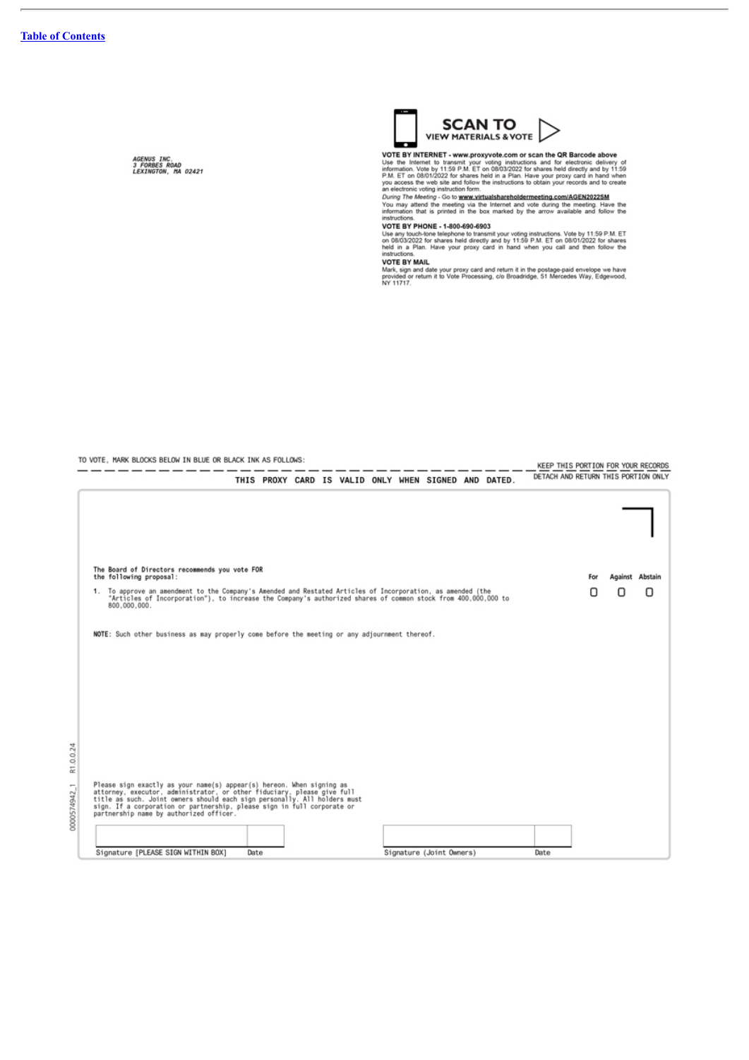AGENUS INC.<br>3 FORBES ROAD<br>LEXINGTON, MA 02421

Signature [PLEASE SIGN WITHIN BOX]

Date



**VIEW PIPER ENTRACES & VOTE FAIRING AND SET AND MANUSE AND SET AND MORE THANKED THANK THAT INTO A USE AND MORE USE THAT IS IN THE PART OF THE PART OF THE PART OF THE PART AND SUCK TO A THANK THAT A THANK THAT IS YOU acces** 

instructions.<br>
VOTE BY PHONE - 1-800-690-6903<br>
Use any touch-lone telephone to transmit your voting instructions. Vote by 11:59 P.M. ET<br>
on 08/03/2022 for shares held directly and by 11:59 P.M. ET on 08/01/2022 for shares<br>

VOTE BY MAIL<br>Mark, sign and date your proxy card and return it in the postage-paid envelope we have<br>provided or return it to Vote Processing, c/o Broadridge, 51 Mercedes Way, Edgewood,<br>NY 11717.

| TO VOTE. MARK BLOCKS BELOW IN BLUE OR BLACK INK AS FOLLOWS:                                                                                                                                                                                                                                                                                         |  | KEEP THIS PORTION FOR YOUR RECORDS                   |  |                                     |                 |
|-----------------------------------------------------------------------------------------------------------------------------------------------------------------------------------------------------------------------------------------------------------------------------------------------------------------------------------------------------|--|------------------------------------------------------|--|-------------------------------------|-----------------|
|                                                                                                                                                                                                                                                                                                                                                     |  | THIS PROXY CARD IS VALID ONLY WHEN SIGNED AND DATED. |  | DETACH AND RETURN THIS PORTION ONLY |                 |
|                                                                                                                                                                                                                                                                                                                                                     |  |                                                      |  |                                     |                 |
|                                                                                                                                                                                                                                                                                                                                                     |  |                                                      |  |                                     |                 |
| The Board of Directors recommends you vote FOR<br>the following proposal:                                                                                                                                                                                                                                                                           |  |                                                      |  | For                                 | Against Abstain |
| 1. To approve an amendment to the Company's Amended and Restated Articles of Incorporation, as amended (the<br>"Articles of Incorporation"), to increase the Company's authorized shares of common stock from 400,000,000 to<br>800.000.000.                                                                                                        |  |                                                      |  | П                                   | n<br>П          |
| NOTE: Such other business as may properly come before the meeting or any adjournment thereof.                                                                                                                                                                                                                                                       |  |                                                      |  |                                     |                 |
|                                                                                                                                                                                                                                                                                                                                                     |  |                                                      |  |                                     |                 |
|                                                                                                                                                                                                                                                                                                                                                     |  |                                                      |  |                                     |                 |
|                                                                                                                                                                                                                                                                                                                                                     |  |                                                      |  |                                     |                 |
|                                                                                                                                                                                                                                                                                                                                                     |  |                                                      |  |                                     |                 |
|                                                                                                                                                                                                                                                                                                                                                     |  |                                                      |  |                                     |                 |
| Please sign exactly as your name(s) appear(s) hereon. When signing as<br>attorney, executor, administrator, or other fiduciary, please give full<br>title as such. Joint owners should each sign personally. All holders must<br>sign. If a corporation or partnership, please sign in full corporate or<br>partnership name by authorized officer. |  |                                                      |  |                                     |                 |
|                                                                                                                                                                                                                                                                                                                                                     |  |                                                      |  |                                     |                 |

Signature (Joint Owners)

Date